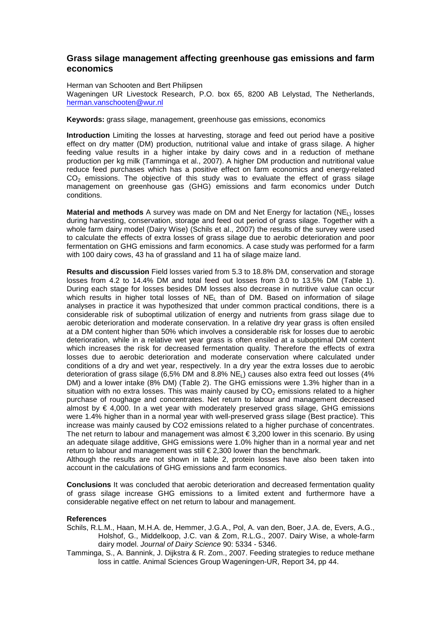## **Grass silage management affecting greenhouse gas emissions and farm economics**

Herman van Schooten and Bert Philipsen Wageningen UR Livestock Research, P.O. box 65, 8200 AB Lelystad, The Netherlands, herman.vanschooten@wur.nl

## **Keywords:** grass silage, management, greenhouse gas emissions, economics

**Introduction** Limiting the losses at harvesting, storage and feed out period have a positive effect on dry matter (DM) production, nutritional value and intake of grass silage. A higher feeding value results in a higher intake by dairy cows and in a reduction of methane production per kg milk (Tamminga et al., 2007). A higher DM production and nutritional value reduce feed purchases which has a positive effect on farm economics and energy-related  $CO<sub>2</sub>$  emissions. The objective of this study was to evaluate the effect of grass silage management on greenhouse gas (GHG) emissions and farm economics under Dutch conditions.

**Material and methods** A survey was made on DM and Net Energy for lactation (NE<sub>L)</sub> losses during harvesting, conservation, storage and feed out period of grass silage. Together with a whole farm dairy model (Dairy Wise) (Schils et al., 2007) the results of the survey were used to calculate the effects of extra losses of grass silage due to aerobic deterioration and poor fermentation on GHG emissions and farm economics. A case study was performed for a farm with 100 dairy cows, 43 ha of grassland and 11 ha of silage maize land.

**Results and discussion** Field losses varied from 5.3 to 18.8% DM, conservation and storage losses from 4.2 to 14.4% DM and total feed out losses from 3.0 to 13.5% DM (Table 1). During each stage for losses besides DM losses also decrease in nutritive value can occur which results in higher total losses of NE<sub>L</sub> than of DM. Based on information of silage analyses in practice it was hypothesized that under common practical conditions, there is a considerable risk of suboptimal utilization of energy and nutrients from grass silage due to aerobic deterioration and moderate conservation. In a relative dry year grass is often ensiled at a DM content higher than 50% which involves a considerable risk for losses due to aerobic deterioration, while in a relative wet year grass is often ensiled at a suboptimal DM content which increases the risk for decreased fermentation quality. Therefore the effects of extra losses due to aerobic deterioration and moderate conservation where calculated under conditions of a dry and wet year, respectively. In a dry year the extra losses due to aerobic deterioration of grass silage (6,5% DM and 8.8% NEL) causes also extra feed out losses (4% DM) and a lower intake (8% DM) (Table 2). The GHG emissions were 1.3% higher than in a situation with no extra losses. This was mainly caused by  $CO<sub>2</sub>$  emissions related to a higher purchase of roughage and concentrates. Net return to labour and management decreased almost by  $\in$  4,000. In a wet year with moderately preserved grass silage, GHG emissions were 1.4% higher than in a normal year with well-preserved grass silage (Best practice). This increase was mainly caused by CO2 emissions related to a higher purchase of concentrates. The net return to labour and management was almost  $\epsilon$  3,200 lower in this scenario. By using an adequate silage additive, GHG emissions were 1.0% higher than in a normal year and net return to labour and management was still  $\epsilon$  2,300 lower than the benchmark.

Although the results are not shown in table 2, protein losses have also been taken into account in the calculations of GHG emissions and farm economics.

**Conclusions** It was concluded that aerobic deterioration and decreased fermentation quality of grass silage increase GHG emissions to a limited extent and furthermore have a considerable negative effect on net return to labour and management.

## **References**

- Schils, R.L.M., Haan, M.H.A. de, Hemmer, J.G.A., Pol, A. van den, Boer, J.A. de, Evers, A.G., Holshof, G., Middelkoop, J.C. van & Zom, R.L.G., 2007. Dairy Wise, a whole-farm dairy model. Journal of Dairy Science 90: 5334 - 5346.
- Tamminga, S., A. Bannink, J. Dijkstra & R. Zom., 2007. Feeding strategies to reduce methane loss in cattle. Animal Sciences Group Wageningen-UR, Report 34, pp 44.